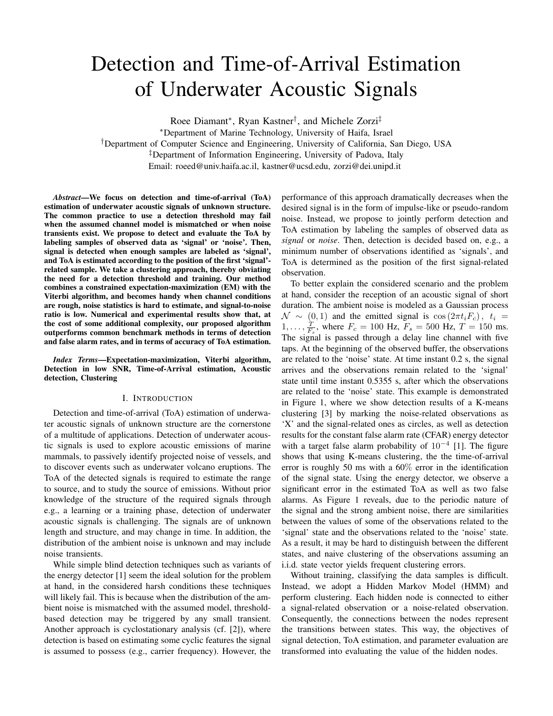# Detection and Time-of-Arrival Estimation of Underwater Acoustic Signals

Roee Diamant<sup>\*</sup>, Ryan Kastner<sup>†</sup>, and Michele Zorzi<sup>‡</sup>

<sup>∗</sup>Department of Marine Technology, University of Haifa, Israel

†Department of Computer Science and Engineering, University of California, San Diego, USA

‡Department of Information Engineering, University of Padova, Italy

Email: roeed@univ.haifa.ac.il, kastner@ucsd.edu, zorzi@dei.unipd.it

*Abstract*—We focus on detection and time-of-arrival (ToA) estimation of underwater acoustic signals of unknown structure. The common practice to use a detection threshold may fail when the assumed channel model is mismatched or when noise transients exist. We propose to detect and evaluate the ToA by labeling samples of observed data as 'signal' or 'noise'. Then, signal is detected when enough samples are labeled as 'signal', and ToA is estimated according to the position of the first 'signal' related sample. We take a clustering approach, thereby obviating the need for a detection threshold and training. Our method combines a constrained expectation-maximization (EM) with the Viterbi algorithm, and becomes handy when channel conditions are rough, noise statistics is hard to estimate, and signal-to-noise ratio is low. Numerical and experimental results show that, at the cost of some additional complexity, our proposed algorithm outperforms common benchmark methods in terms of detection and false alarm rates, and in terms of accuracy of ToA estimation.

*Index Terms*—Expectation-maximization, Viterbi algorithm, Detection in low SNR, Time-of-Arrival estimation, Acoustic detection, Clustering

## I. INTRODUCTION

Detection and time-of-arrival (ToA) estimation of underwater acoustic signals of unknown structure are the cornerstone of a multitude of applications. Detection of underwater acoustic signals is used to explore acoustic emissions of marine mammals, to passively identify projected noise of vessels, and to discover events such as underwater volcano eruptions. The ToA of the detected signals is required to estimate the range to source, and to study the source of emissions. Without prior knowledge of the structure of the required signals through e.g., a learning or a training phase, detection of underwater acoustic signals is challenging. The signals are of unknown length and structure, and may change in time. In addition, the distribution of the ambient noise is unknown and may include noise transients.

While simple blind detection techniques such as variants of the energy detector [1] seem the ideal solution for the problem at hand, in the considered harsh conditions these techniques will likely fail. This is because when the distribution of the ambient noise is mismatched with the assumed model, thresholdbased detection may be triggered by any small transient. Another approach is cyclostationary analysis (cf. [2]), where detection is based on estimating some cyclic features the signal is assumed to possess (e.g., carrier frequency). However, the performance of this approach dramatically decreases when the desired signal is in the form of impulse-like or pseudo-random noise. Instead, we propose to jointly perform detection and ToA estimation by labeling the samples of observed data as *signal* or *noise*. Then, detection is decided based on, e.g., a minimum number of observations identified as 'signals', and ToA is determined as the position of the first signal-related observation.

To better explain the considered scenario and the problem at hand, consider the reception of an acoustic signal of short duration. The ambient noise is modeled as a Gaussian process  $\mathcal{N} \sim (0, 1)$  and the emitted signal is  $\cos(2\pi t_i F_c)$ ,  $t_i =$  $1, \ldots, \frac{T}{F_s}$ , where  $F_c = 100$  Hz,  $F_s = 500$  Hz,  $T = 150$  ms. The signal is passed through a delay line channel with five taps. At the beginning of the observed buffer, the observations are related to the 'noise' state. At time instant 0.2 s, the signal arrives and the observations remain related to the 'signal' state until time instant 0.5355 s, after which the observations are related to the 'noise' state. This example is demonstrated in Figure 1, where we show detection results of a K-means clustering [3] by marking the noise-related observations as 'X' and the signal-related ones as circles, as well as detection results for the constant false alarm rate (CFAR) energy detector with a target false alarm probability of  $10^{-4}$  [1]. The figure shows that using K-means clustering, the the time-of-arrival error is roughly 50 ms with a 60% error in the identification of the signal state. Using the energy detector, we observe a significant error in the estimated ToA as well as two false alarms. As Figure 1 reveals, due to the periodic nature of the signal and the strong ambient noise, there are similarities between the values of some of the observations related to the 'signal' state and the observations related to the 'noise' state. As a result, it may be hard to distinguish between the different states, and naive clustering of the observations assuming an i.i.d. state vector yields frequent clustering errors.

Without training, classifying the data samples is difficult. Instead, we adopt a Hidden Markov Model (HMM) and perform clustering. Each hidden node is connected to either a signal-related observation or a noise-related observation. Consequently, the connections between the nodes represent the transitions between states. This way, the objectives of signal detection, ToA estimation, and parameter evaluation are transformed into evaluating the value of the hidden nodes.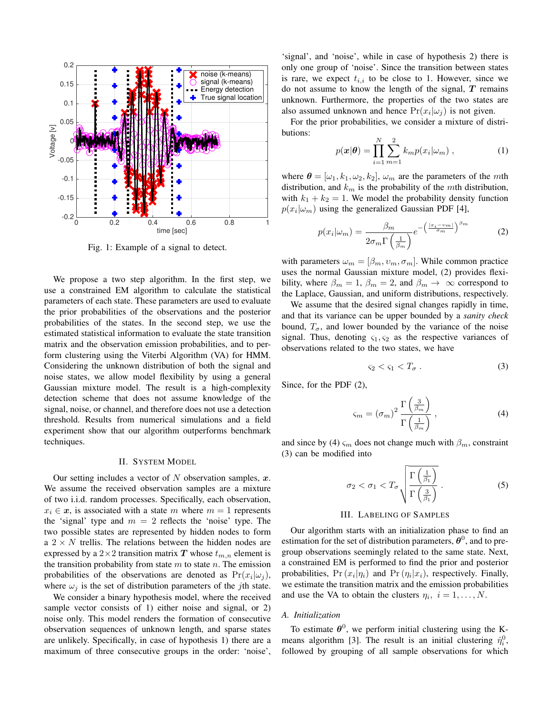

Fig. 1: Example of a signal to detect.

We propose a two step algorithm. In the first step, we use a constrained EM algorithm to calculate the statistical parameters of each state. These parameters are used to evaluate the prior probabilities of the observations and the posterior probabilities of the states. In the second step, we use the estimated statistical information to evaluate the state transition matrix and the observation emission probabilities, and to perform clustering using the Viterbi Algorithm (VA) for HMM. Considering the unknown distribution of both the signal and noise states, we allow model flexibility by using a general Gaussian mixture model. The result is a high-complexity detection scheme that does not assume knowledge of the signal, noise, or channel, and therefore does not use a detection threshold. Results from numerical simulations and a field experiment show that our algorithm outperforms benchmark techniques.

## II. SYSTEM MODEL

Our setting includes a vector of  $N$  observation samples,  $x$ . We assume the received observation samples are a mixture of two i.i.d. random processes. Specifically, each observation,  $x_i \in \mathbf{x}$ , is associated with a state m where  $m = 1$  represents the 'signal' type and  $m = 2$  reflects the 'noise' type. The two possible states are represented by hidden nodes to form a  $2 \times N$  trellis. The relations between the hidden nodes are expressed by a 2×2 transition matrix T whose  $t_{m,n}$  element is the transition probability from state  $m$  to state  $n$ . The emission probabilities of the observations are denoted as  $Pr(x_i | \omega_j)$ , where  $\omega_i$  is the set of distribution parameters of the *j*th state.

We consider a binary hypothesis model, where the received sample vector consists of 1) either noise and signal, or 2) noise only. This model renders the formation of consecutive observation sequences of unknown length, and sparse states are unlikely. Specifically, in case of hypothesis 1) there are a maximum of three consecutive groups in the order: 'noise',

'signal', and 'noise', while in case of hypothesis 2) there is only one group of 'noise'. Since the transition between states is rare, we expect  $t_{i,i}$  to be close to 1. However, since we do not assume to know the length of the signal,  $T$  remains unknown. Furthermore, the properties of the two states are also assumed unknown and hence  $Pr(x_i | \omega_j)$  is not given.

For the prior probabilities, we consider a mixture of distributions:

$$
p(\boldsymbol{x}|\boldsymbol{\theta}) = \prod_{i=1}^{N} \sum_{m=1}^{2} k_m p(x_i|\omega_m) , \qquad (1)
$$

where  $\boldsymbol{\theta} = [\omega_1, k_1, \omega_2, k_2], \omega_m$  are the parameters of the mth distribution, and  $k<sub>m</sub>$  is the probability of the mth distribution, with  $k_1 + k_2 = 1$ . We model the probability density function  $p(x_i | \omega_m)$  using the generalized Gaussian PDF [4],

$$
p(x_i|\omega_m) = \frac{\beta_m}{2\sigma_m \Gamma\left(\frac{1}{\beta_m}\right)} e^{-\left(\frac{|x_i - v_m|}{\sigma_m}\right)^{\beta_m}}
$$
(2)

with parameters  $\omega_m = [\beta_m, \nu_m, \sigma_m]$ . While common practice uses the normal Gaussian mixture model, (2) provides flexibility, where  $\beta_m = 1$ ,  $\beta_m = 2$ , and  $\beta_m \rightarrow \infty$  correspond to the Laplace, Gaussian, and uniform distributions, respectively.

We assume that the desired signal changes rapidly in time, and that its variance can be upper bounded by a *sanity check* bound,  $T_{\sigma}$ , and lower bounded by the variance of the noise signal. Thus, denoting  $\varsigma_1, \varsigma_2$  as the respective variances of observations related to the two states, we have

$$
\varsigma_2 < \varsigma_1 < T_\sigma \,. \tag{3}
$$

Since, for the PDF (2),

$$
\varsigma_m = \left(\sigma_m\right)^2 \frac{\Gamma\left(\frac{3}{\beta_m}\right)}{\Gamma\left(\frac{1}{\beta_m}\right)}\,,\tag{4}
$$

and since by (4)  $\varsigma_m$  does not change much with  $\beta_m$ , constraint (3) can be modified into

$$
\sigma_2 < \sigma_1 < T_\sigma \sqrt{\frac{\Gamma\left(\frac{1}{\beta_1}\right)}{\Gamma\left(\frac{3}{\beta_1}\right)}}\,. \tag{5}
$$

#### III. LABELING OF SAMPLES

Our algorithm starts with an initialization phase to find an estimation for the set of distribution parameters,  $\boldsymbol{\theta}^0$ , and to pregroup observations seemingly related to the same state. Next, a constrained EM is performed to find the prior and posterior probabilities,  $Pr(x_i|\eta_i)$  and  $Pr(\eta_i|x_i)$ , respectively. Finally, we estimate the transition matrix and the emission probabilities and use the VA to obtain the clusters  $\eta_i$ ,  $i = 1, \dots, N$ .

#### *A. Initialization*

To estimate  $\theta^0$ , we perform initial clustering using the Kmeans algorithm [3]. The result is an initial clustering  $\hat{\eta}_i^0$ , followed by grouping of all sample observations for which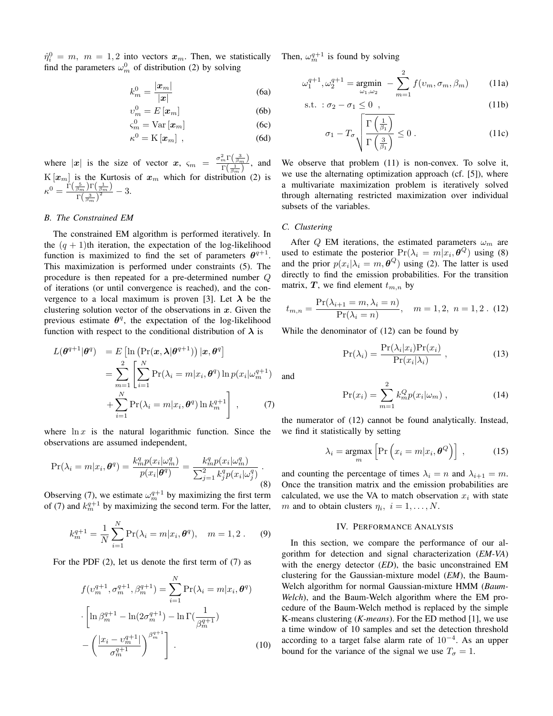$\hat{\eta}_i^0 = m$ ,  $m = 1, 2$  into vectors  $x_m$ . Then, we statistically Then,  $\omega_m^{q+1}$  is found by solving find the parameters  $\omega_m^0$  of distribution (2) by solving

$$
k_m^0 = \frac{|\boldsymbol{x}_m|}{|\boldsymbol{x}|} \tag{6a}
$$

$$
v_m^0 = E\left[\mathbf{x}_m\right] \tag{6b}
$$

$$
\varsigma_m^0 = \text{Var}\left[\boldsymbol{x}_m\right] \tag{6c}
$$

$$
\kappa^0 = \mathrm{K} \left[ \boldsymbol{x}_m \right] \,, \tag{6d}
$$

where |x| is the size of vector x,  $\zeta_m = \frac{\sigma_m^2 \Gamma(\frac{3}{pm})}{\Gamma(\frac{1}{2})}$  $\frac{m^2(\beta_m)}{\Gamma(\frac{1}{\beta_m})}$ , and  $K[\mathbf{x}_m]$  is the Kurtosis of  $\mathbf{x}_m$  which for distribution (2) is  $\kappa^0 = \frac{\Gamma(\frac{5}{\beta_m}) \Gamma(\frac{1}{\beta_m})}{\Gamma(\frac{3}{2})^2}$  $\frac{\beta_m T^2(\frac{3}{\beta_m})^2}{\Gamma(\frac{3}{\beta_m})^2} - 3.$ 

## *B. The Constrained EM*

The constrained EM algorithm is performed iteratively. In the  $(q + 1)$ th iteration, the expectation of the log-likelihood function is maximized to find the set of parameters  $\theta^{q+1}$ . This maximization is performed under constraints (5). The procedure is then repeated for a pre-determined number Q of iterations (or until convergence is reached), and the convergence to a local maximum is proven [3]. Let  $\lambda$  be the clustering solution vector of the observations in  $x$ . Given the previous estimate  $\theta^q$ , the expectation of the log-likelihood function with respect to the conditional distribution of  $\lambda$  is

$$
L(\theta^{q+1}|\theta^q) = E\left[\ln\left(\Pr(x,\lambda|\theta^{q+1})\right)|x,\theta^q\right]
$$
  
\n
$$
= \sum_{m=1}^2 \left[\sum_{i=1}^N \Pr(\lambda_i = m|x_i, \theta^q) \ln p(x_i|\omega_m^{q+1}) + \sum_{i=1}^N \Pr(\lambda_i = m|x_i, \theta^q) \ln k_m^{q+1}\right], \qquad (7)
$$

where  $\ln x$  is the natural logarithmic function. Since the observations are assumed independent,

$$
\Pr(\lambda_i = m | x_i, \theta^q) = \frac{k_m^q p(x_i | \omega_m^q)}{p(x_i | \theta^q)} = \frac{k_m^q p(x_i | \omega_m^q)}{\sum_{j=1}^2 k_j^q p(x_i | \omega_j^q)}.
$$
(8)

Observing (7), we estimate  $\omega_m^{q+1}$  by maximizing the first term of (7) and  $k_m^{q+1}$  by maximizing the second term. For the latter,

$$
k_m^{q+1} = \frac{1}{N} \sum_{i=1}^N \Pr(\lambda_i = m | x_i, \theta^q), \quad m = 1, 2. \tag{9}
$$

For the PDF (2), let us denote the first term of (7) as

$$
f(v_m^{q+1}, \sigma_m^{q+1}, \beta_m^{q+1}) = \sum_{i=1}^N \Pr(\lambda_i = m | x_i, \theta^q)
$$

$$
\cdot \left[ \ln \beta_m^{q+1} - \ln(2\sigma_m^{q+1}) - \ln \Gamma(\frac{1}{\beta_m^{q+1}}) - \left( \frac{|x_i - v_m^{q+1}|}{\sigma_m^{q+1}} \right)^{\beta_m^{q+1}} \right].
$$
(10)

$$
\omega_1^{q+1}, \omega_2^{q+1} = \underset{\omega_1, \omega_2}{\text{argmin}} - \sum_{m=1}^2 f(v_m, \sigma_m, \beta_m) \tag{11a}
$$

$$
s.t. : \sigma_2 - \sigma_1 \leq 0 \tag{11b}
$$

$$
\sigma_1 - T_{\sigma} \sqrt{\frac{\Gamma\left(\frac{1}{\beta_1}\right)}{\Gamma\left(\frac{3}{\beta_1}\right)}} \le 0.
$$
 (11c)

We observe that problem (11) is non-convex. To solve it, we use the alternating optimization approach (cf. [5]), where a multivariate maximization problem is iteratively solved through alternating restricted maximization over individual subsets of the variables.

## *C. Clustering*

After Q EM iterations, the estimated parameters  $\omega_m$  are used to estimate the posterior  $Pr(\lambda_i = m | x_i, \theta^Q)$  using (8) and the prior  $p(x_i | \lambda_i = m, \theta^Q)$  using (2). The latter is used directly to find the emission probabilities. For the transition matrix,  $T$ , we find element  $t_{m,n}$  by

$$
t_{m,n} = \frac{\Pr(\lambda_{i+1} = m, \lambda_i = n)}{\Pr(\lambda_i = n)}, \quad m = 1, 2, n = 1, 2. (12)
$$

While the denominator of (12) can be found by

$$
Pr(\lambda_i) = \frac{Pr(\lambda_i | x_i) Pr(x_i)}{Pr(x_i | \lambda_i)},
$$
\n(13)

and

$$
Pr(x_i) = \sum_{m=1}^{2} k_m^Q p(x_i | \omega_m) , \qquad (14)
$$

the numerator of (12) cannot be found analytically. Instead, we find it statistically by setting

$$
\lambda_i = \underset{m}{\text{argmax}} \left[ \Pr \left( x_i = m | x_i, \theta^Q \right) \right] \,, \tag{15}
$$

and counting the percentage of times  $\lambda_i = n$  and  $\lambda_{i+1} = m$ . Once the transition matrix and the emission probabilities are calculated, we use the VA to match observation  $x_i$  with state m and to obtain clusters  $\eta_i$ ,  $i = 1, \dots, N$ .

## IV. PERFORMANCE ANALYSIS

In this section, we compare the performance of our algorithm for detection and signal characterization (*EM-VA*) with the energy detector (*ED*), the basic unconstrained EM clustering for the Gaussian-mixture model (*EM*), the Baum-Welch algorithm for normal Gaussian-mixture HMM (*Baum-Welch*), and the Baum-Welch algorithm where the EM procedure of the Baum-Welch method is replaced by the simple K-means clustering (*K-means*). For the ED method [1], we use a time window of 10 samples and set the detection threshold according to a target false alarm rate of  $10^{-4}$ . As an upper bound for the variance of the signal we use  $T_{\sigma} = 1$ .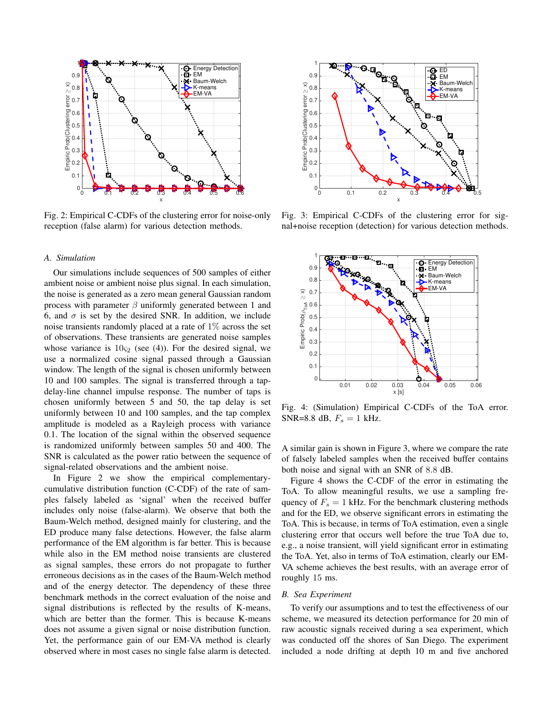

Fig. 2: Empirical C-CDFs of the clustering error for noise-only reception (false alarm) for various detection methods.

## *A. Simulation*

Our simulations include sequences of 500 samples of either ambient noise or ambient noise plus signal. In each simulation, the noise is generated as a zero mean general Gaussian random process with parameter  $\beta$  uniformly generated between 1 and 6, and  $\sigma$  is set by the desired SNR. In addition, we include noise transients randomly placed at a rate of  $1\%$  across the set of observations. These transients are generated noise samples whose variance is  $10\varsigma_2$  (see (4)). For the desired signal, we use a normalized cosine signal passed through a Gaussian window. The length of the signal is chosen uniformly between 10 and 100 samples. The signal is transferred through a tapdelay-line channel impulse response. The number of taps is chosen uniformly between 5 and 50, the tap delay is set uniformly between 10 and 100 samples, and the tap complex amplitude is modeled as a Rayleigh process with variance 0.1. The location of the signal within the observed sequence is randomized uniformly between samples 50 and 400. The SNR is calculated as the power ratio between the sequence of signal-related observations and the ambient noise.

In Figure 2 we show the empirical complementarycumulative distribution function (C-CDF) of the rate of samples falsely labeled as 'signal' when the received buffer includes only noise (false-alarm). We observe that both the Baum-Welch method, designed mainly for clustering, and the ED produce many false detections. However, the false alarm performance of the EM algorithm is far better. This is because while also in the EM method noise transients are clustered as signal samples, these errors do not propagate to further erroneous decisions as in the cases of the Baum-Welch method and of the energy detector. The dependency of these three benchmark methods in the correct evaluation of the noise and signal distributions is reflected by the results of K-means, which are better than the former. This is because K-means does not assume a given signal or noise distribution function. Yet, the performance gain of our EM-VA method is clearly observed where in most cases no single false alarm is detected.



Fig. 3: Empirical C-CDFs of the clustering error for signal+noise reception (detection) for various detection methods.



Fig. 4: (Simulation) Empirical C-CDFs of the ToA error. SNR=8.8 dB,  $F_s = 1$  kHz.

A similar gain is shown in Figure 3, where we compare the rate of falsely labeled samples when the received buffer contains both noise and signal with an SNR of 8.8 dB.

Figure 4 shows the C-CDF of the error in estimating the ToA. To allow meaningful results, we use a sampling frequency of  $F_s = 1$  kHz. For the benchmark clustering methods and for the ED, we observe significant errors in estimating the ToA. This is because, in terms of ToA estimation, even a single clustering error that occurs well before the true ToA due to, e.g., a noise transient, will yield significant error in estimating the ToA. Yet, also in terms of ToA estimation, clearly our EM-VA scheme achieves the best results, with an average error of roughly 15 ms.

## *B. Sea Experiment*

To verify our assumptions and to test the effectiveness of our scheme, we measured its detection performance for 20 min of raw acoustic signals received during a sea experiment, which was conducted off the shores of San Diego. The experiment included a node drifting at depth 10 m and five anchored